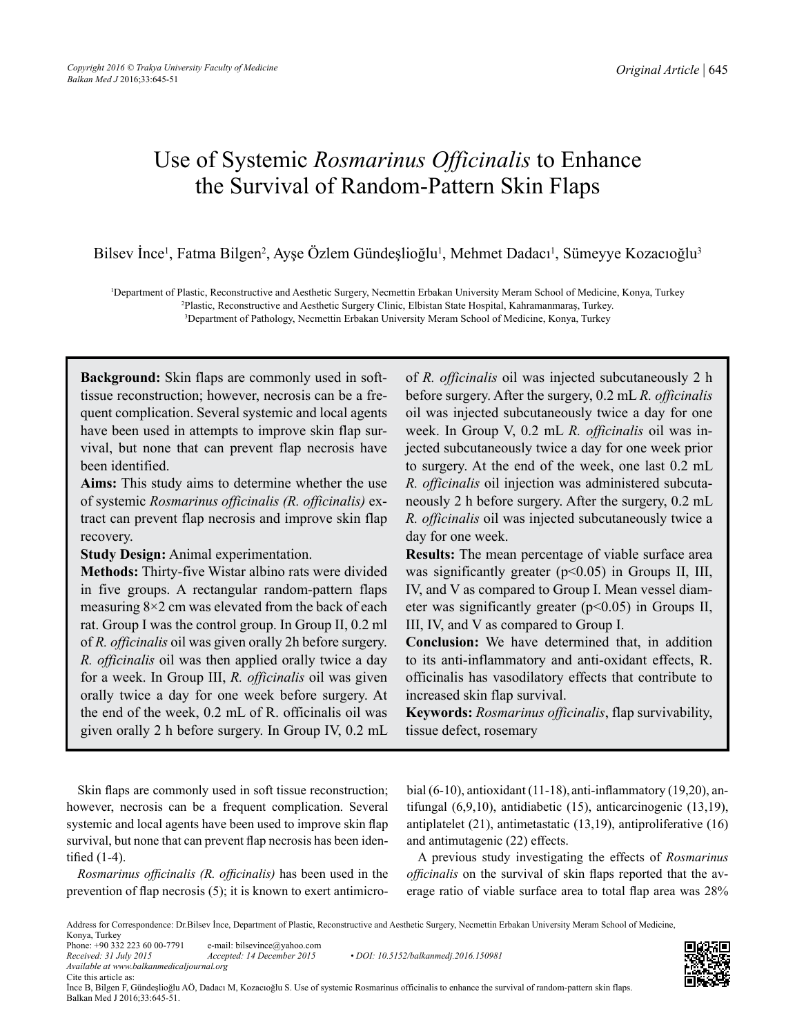# Use of Systemic *Rosmarinus Officinalis* to Enhance the Survival of Random-Pattern Skin Flaps

Bilsev İnce<sup>1</sup>, Fatma Bilgen<sup>2</sup>, Ayşe Özlem Gündeşlioğlu<sup>1</sup>, Mehmet Dadacı<sup>1</sup>, Sümeyye Kozacıoğlu<sup>3</sup>

1 Department of Plastic, Reconstructive and Aesthetic Surgery, Necmettin Erbakan University Meram School of Medicine, Konya, Turkey 2 Plastic, Reconstructive and Aesthetic Surgery Clinic, Elbistan State Hospital, Kahramanmaraş, Turkey.

3 Department of Pathology, Necmettin Erbakan University Meram School of Medicine, Konya, Turkey

**Background:** Skin flaps are commonly used in softtissue reconstruction; however, necrosis can be a frequent complication. Several systemic and local agents have been used in attempts to improve skin flap survival, but none that can prevent flap necrosis have been identified.

**Aims:** This study aims to determine whether the use of systemic *Rosmarinus officinalis (R. officinalis)* extract can prevent flap necrosis and improve skin flap recovery.

**Study Design:** Animal experimentation.

**Methods:** Thirty-five Wistar albino rats were divided in five groups. A rectangular random-pattern flaps measuring  $8\times 2$  cm was elevated from the back of each rat. Group I was the control group. In Group II, 0.2 ml of *R. officinalis* oil was given orally 2h before surgery. *R. officinalis* oil was then applied orally twice a day for a week. In Group III, *R. officinalis* oil was given orally twice a day for one week before surgery. At the end of the week, 0.2 mL of R. officinalis oil was given orally 2 h before surgery. In Group IV, 0.2 mL of *R. officinalis* oil was injected subcutaneously 2 h before surgery. After the surgery, 0.2 mL *R. officinalis* oil was injected subcutaneously twice a day for one week. In Group V, 0.2 mL *R. officinalis* oil was injected subcutaneously twice a day for one week prior to surgery. At the end of the week, one last 0.2 mL *R. officinalis* oil injection was administered subcutaneously 2 h before surgery. After the surgery, 0.2 mL *R. officinalis* oil was injected subcutaneously twice a day for one week.

**Results:** The mean percentage of viable surface area was significantly greater  $(p<0.05)$  in Groups II, III, IV, and V as compared to Group I. Mean vessel diameter was significantly greater (p<0.05) in Groups II, III, IV, and V as compared to Group I.

**Conclusion:** We have determined that, in addition to its anti-inflammatory and anti-oxidant effects, R. officinalis has vasodilatory effects that contribute to increased skin flap survival.

**Keywords:** *Rosmarinus officinalis*, flap survivability, tissue defect, rosemary

Skin flaps are commonly used in soft tissue reconstruction; however, necrosis can be a frequent complication. Several systemic and local agents have been used to improve skin flap survival, but none that can prevent flap necrosis has been identified (1-4).

*Rosmarinus officinalis (R. officinalis)* has been used in the prevention of flap necrosis (5); it is known to exert antimicrobial (6-10), antioxidant (11-18), anti-inflammatory (19,20), antifungal (6,9,10), antidiabetic (15), anticarcinogenic (13,19), antiplatelet (21), antimetastatic (13,19), antiproliferative (16) and antimutagenic (22) effects.

A previous study investigating the effects of *Rosmarinus officinalis* on the survival of skin flaps reported that the average ratio of viable surface area to total flap area was 28%

Address for Correspondence: Dr.Bilsev İnce, Department of Plastic, Reconstructive and Aesthetic Surgery, Necmettin Erbakan University Meram School of Medicine, Konya, Turkey



*Received: 31 July 2015 Accepted: 14 December 2015 • DOI: 10.5152/balkanmedj.2016.150981*

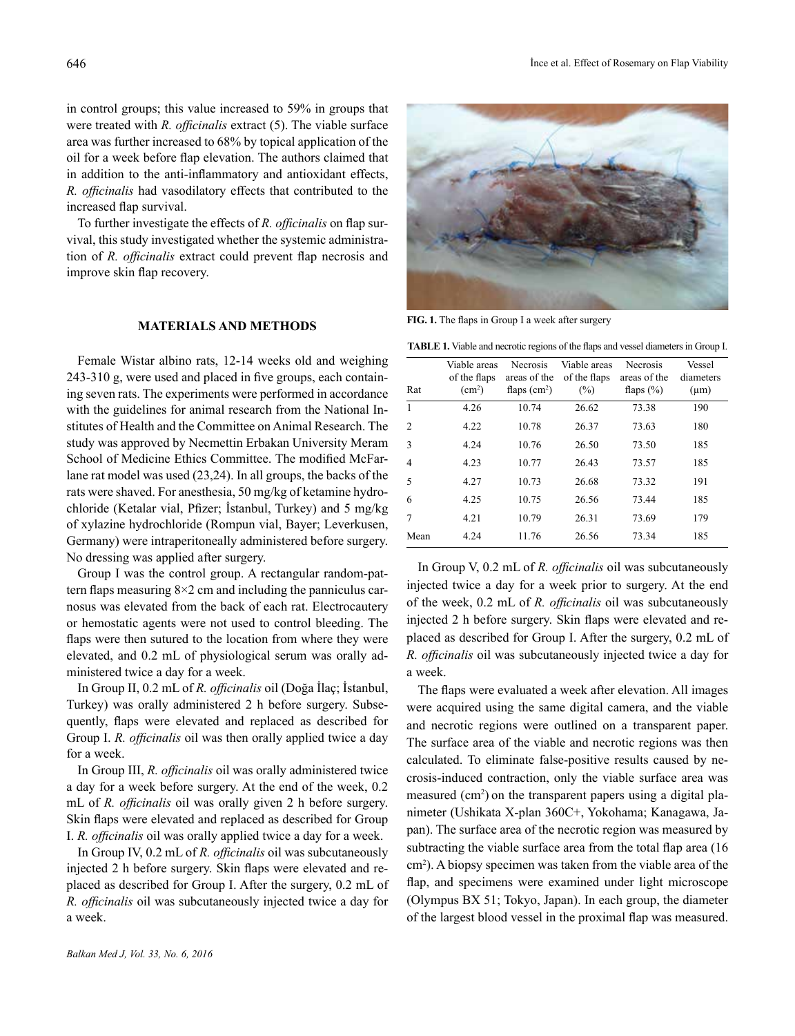in control groups; this value increased to 59% in groups that were treated with *R. officinalis* extract (5). The viable surface area was further increased to 68% by topical application of the oil for a week before flap elevation. The authors claimed that in addition to the anti-inflammatory and antioxidant effects, *R. officinalis* had vasodilatory effects that contributed to the increased flap survival.

To further investigate the effects of *R. officinalis* on flap survival, this study investigated whether the systemic administration of *R. officinalis* extract could prevent flap necrosis and improve skin flap recovery.

# **MATERIALS AND METHODS**

Female Wistar albino rats, 12-14 weeks old and weighing 243-310 g, were used and placed in five groups, each containing seven rats. The experiments were performed in accordance with the guidelines for animal research from the National Institutes of Health and the Committee on Animal Research. The study was approved by Necmettin Erbakan University Meram School of Medicine Ethics Committee. The modified McFarlane rat model was used (23,24). In all groups, the backs of the rats were shaved. For anesthesia, 50 mg/kg of ketamine hydrochloride (Ketalar vial, Pfizer; İstanbul, Turkey) and 5 mg/kg of xylazine hydrochloride (Rompun vial, Bayer; Leverkusen, Germany) were intraperitoneally administered before surgery. No dressing was applied after surgery.

Group I was the control group. A rectangular random-pattern flaps measuring  $8\times 2$  cm and including the panniculus carnosus was elevated from the back of each rat. Electrocautery or hemostatic agents were not used to control bleeding. The flaps were then sutured to the location from where they were elevated, and 0.2 mL of physiological serum was orally administered twice a day for a week.

In Group II, 0.2 mL of *R. officinalis* oil (Doğa İlaç; İstanbul, Turkey) was orally administered 2 h before surgery. Subsequently, flaps were elevated and replaced as described for Group I. *R. officinalis* oil was then orally applied twice a day for a week.

In Group III, *R. officinalis* oil was orally administered twice a day for a week before surgery. At the end of the week, 0.2 mL of *R. officinalis* oil was orally given 2 h before surgery. Skin flaps were elevated and replaced as described for Group I. *R. officinalis* oil was orally applied twice a day for a week.

In Group IV, 0.2 mL of *R. officinalis* oil was subcutaneously injected 2 h before surgery. Skin flaps were elevated and replaced as described for Group I. After the surgery, 0.2 mL of *R. officinalis* oil was subcutaneously injected twice a day for a week.



**FIG. 1.** The flaps in Group I a week after surgery

|  | <b>TABLE 1.</b> Viable and necrotic regions of the flaps and vessel diameters in Group I. |  |  |  |
|--|-------------------------------------------------------------------------------------------|--|--|--|
|  |                                                                                           |  |  |  |

| Rat            | Viable areas<br>of the flaps<br>(cm <sup>2</sup> ) | <b>Necrosis</b><br>areas of the<br>flaps $(cm2)$ | Viable areas<br>of the flaps<br>$(\% )$ | Necrosis<br>areas of the<br>flaps $(\% )$ | Vessel<br>diameters<br>$(\mu m)$ |
|----------------|----------------------------------------------------|--------------------------------------------------|-----------------------------------------|-------------------------------------------|----------------------------------|
| 1              | 4.26                                               | 10.74                                            | 26.62                                   | 73.38                                     | 190                              |
| $\overline{2}$ | 4.22                                               | 10.78                                            | 26.37                                   | 73.63                                     | 180                              |
| 3              | 4.24                                               | 10.76                                            | 26.50                                   | 73.50                                     | 185                              |
| $\overline{4}$ | 4.23                                               | 10.77                                            | 26.43                                   | 73.57                                     | 185                              |
| 5              | 4.27                                               | 10.73                                            | 26.68                                   | 73.32                                     | 191                              |
| 6              | 4.25                                               | 10.75                                            | 26.56                                   | 73.44                                     | 185                              |
| 7              | 4.21                                               | 10.79                                            | 26.31                                   | 73.69                                     | 179                              |
| Mean           | 4.24                                               | 11.76                                            | 26.56                                   | 73.34                                     | 185                              |

In Group V, 0.2 mL of *R. officinalis* oil was subcutaneously injected twice a day for a week prior to surgery. At the end of the week, 0.2 mL of *R. officinalis* oil was subcutaneously injected 2 h before surgery. Skin flaps were elevated and replaced as described for Group I. After the surgery, 0.2 mL of *R. officinalis* oil was subcutaneously injected twice a day for a week.

The flaps were evaluated a week after elevation. All images were acquired using the same digital camera, and the viable and necrotic regions were outlined on a transparent paper. The surface area of the viable and necrotic regions was then calculated. To eliminate false-positive results caused by necrosis-induced contraction, only the viable surface area was measured (cm<sup>2</sup>) on the transparent papers using a digital planimeter (Ushikata X-plan 360C+, Yokohama; Kanagawa, Japan). The surface area of the necrotic region was measured by subtracting the viable surface area from the total flap area (16 cm2 ). A biopsy specimen was taken from the viable area of the flap, and specimens were examined under light microscope (Olympus BX 51; Tokyo, Japan). In each group, the diameter of the largest blood vessel in the proximal flap was measured.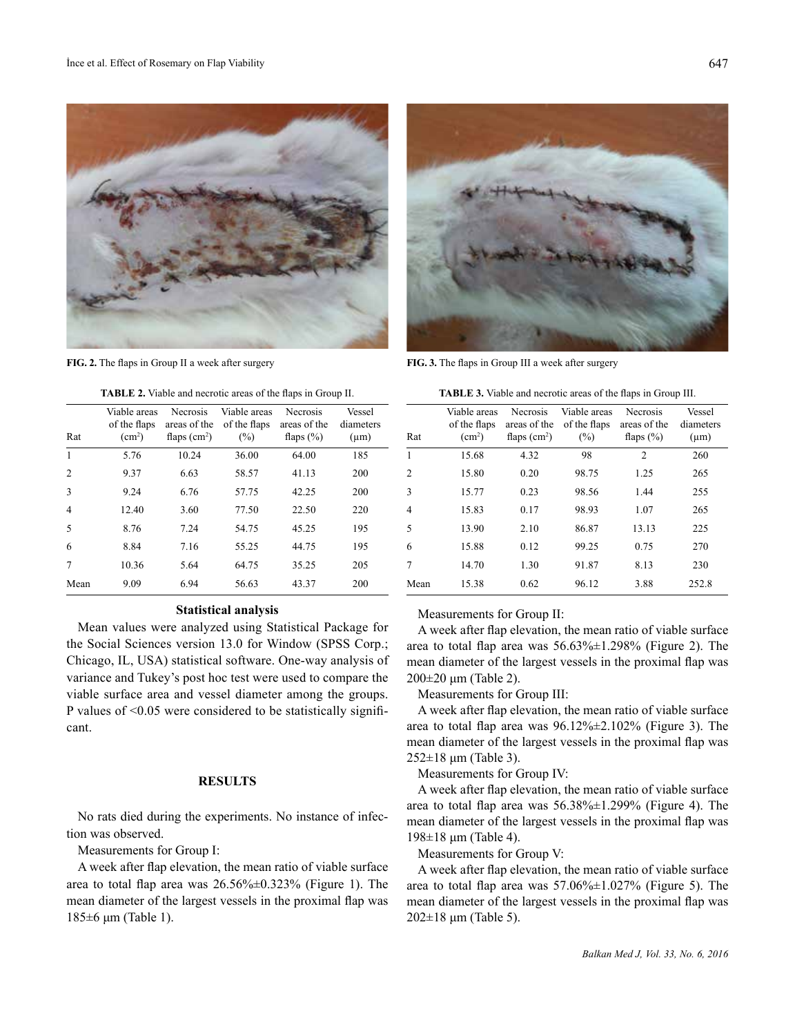

**TABLE 2.** Viable and necrotic areas of the flaps in Group II.

| Rat            | Viable areas<br>of the flaps<br>(cm <sup>2</sup> ) | <b>Necrosis</b><br>areas of the<br>flaps $(cm2)$ | Viable areas<br>of the flaps<br>(%) | Necrosis<br>areas of the<br>flaps $(\%)$ | Vessel<br>diameters<br>$(\mu m)$ |
|----------------|----------------------------------------------------|--------------------------------------------------|-------------------------------------|------------------------------------------|----------------------------------|
| $\mathbf{1}$   | 5.76                                               | 10.24                                            | 36.00                               | 64.00                                    | 185                              |
| $\overline{2}$ | 9.37                                               | 6.63                                             | 58.57                               | 41.13                                    | 200                              |
| 3              | 9.24                                               | 6.76                                             | 57.75                               | 42.25                                    | 200                              |
| $\overline{4}$ | 12.40                                              | 3.60                                             | 77.50                               | 22.50                                    | 220                              |
| 5              | 8.76                                               | 7.24                                             | 54.75                               | 45.25                                    | 195                              |
| 6              | 8.84                                               | 7.16                                             | 55.25                               | 44.75                                    | 195                              |
| $\overline{7}$ | 10.36                                              | 5.64                                             | 64.75                               | 35.25                                    | 205                              |
| Mean           | 9.09                                               | 6.94                                             | 56.63                               | 43.37                                    | 200                              |

### **Statistical analysis**

Mean values were analyzed using Statistical Package for the Social Sciences version 13.0 for Window (SPSS Corp.; Chicago, IL, USA) statistical software. One-way analysis of variance and Tukey's post hoc test were used to compare the viable surface area and vessel diameter among the groups. P values of <0.05 were considered to be statistically significant.

## **RESULTS**

No rats died during the experiments. No instance of infection was observed.

Measurements for Group I:

A week after flap elevation, the mean ratio of viable surface area to total flap area was  $26.56\% \pm 0.323\%$  (Figure 1). The mean diameter of the largest vessels in the proximal flap was 185±6 μm (Table 1).



**FIG. 2.** The flaps in Group II a week after surgery **FIG. 3.** The flaps in Group III a week after surgery

**TABLE 3.** Viable and necrotic areas of the flaps in Group III.

| Rat  | Viable areas<br>of the flaps<br>(cm <sup>2</sup> ) | <b>Necrosis</b><br>areas of the<br>flaps $(cm2)$ | Viable areas<br>of the flaps<br>$(\% )$ | <b>Necrosis</b><br>areas of the<br>flaps $(\%)$ | Vessel<br>diameters<br>$(\mu m)$ |
|------|----------------------------------------------------|--------------------------------------------------|-----------------------------------------|-------------------------------------------------|----------------------------------|
| 1    | 15.68                                              | 4.32                                             | 98                                      | 2                                               | 260                              |
| 2    | 15.80                                              | 0.20                                             | 98.75                                   | 1.25                                            | 265                              |
| 3    | 15.77                                              | 0.23                                             | 98.56                                   | 1.44                                            | 255                              |
| 4    | 15.83                                              | 0.17                                             | 98.93                                   | 1.07                                            | 265                              |
| 5    | 13.90                                              | 2.10                                             | 86.87                                   | 13.13                                           | 225                              |
| 6    | 15.88                                              | 0.12                                             | 99.25                                   | 0.75                                            | 270                              |
| 7    | 14.70                                              | 1.30                                             | 91.87                                   | 8.13                                            | 230                              |
| Mean | 15.38                                              | 0.62                                             | 96.12                                   | 3.88                                            | 252.8                            |

Measurements for Group II:

A week after flap elevation, the mean ratio of viable surface area to total flap area was 56.63%±1.298% (Figure 2). The mean diameter of the largest vessels in the proximal flap was 200±20 μm (Table 2).

Measurements for Group III:

A week after flap elevation, the mean ratio of viable surface area to total flap area was  $96.12\% \pm 2.102\%$  (Figure 3). The mean diameter of the largest vessels in the proximal flap was 252±18 μm (Table 3).

Measurements for Group IV:

A week after flap elevation, the mean ratio of viable surface area to total flap area was 56.38%±1.299% (Figure 4). The mean diameter of the largest vessels in the proximal flap was 198±18 μm (Table 4).

Measurements for Group V:

A week after flap elevation, the mean ratio of viable surface area to total flap area was  $57.06\% \pm 1.027\%$  (Figure 5). The mean diameter of the largest vessels in the proximal flap was  $202\pm18$  μm (Table 5).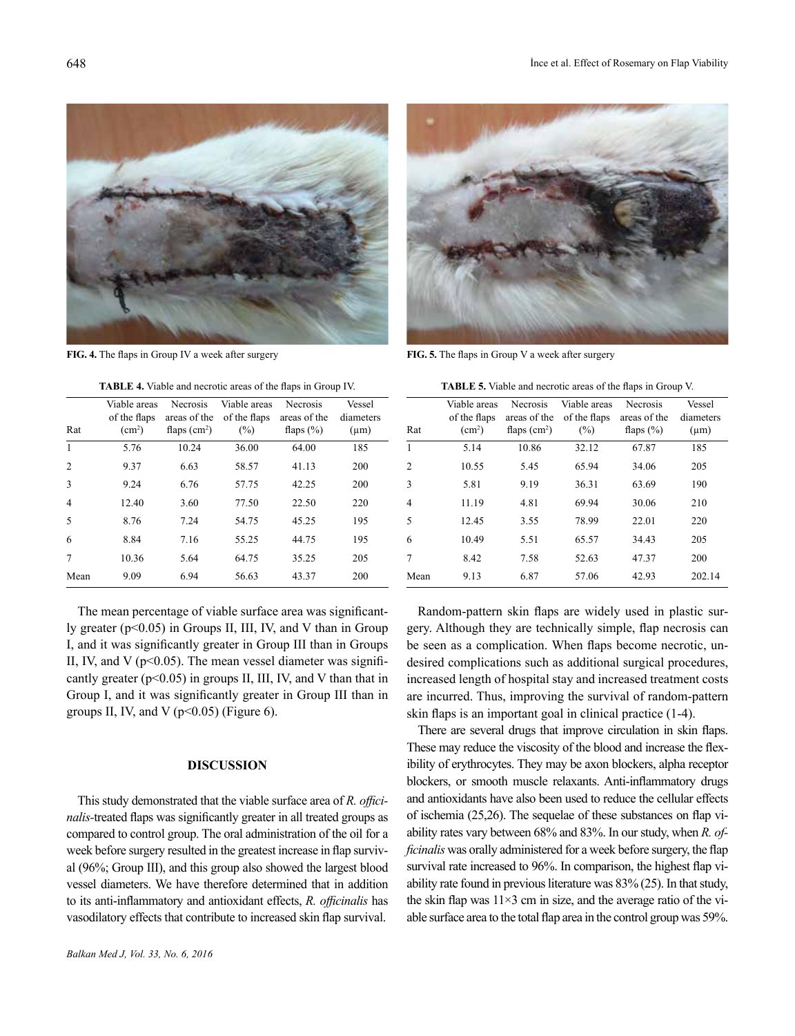

**FIG. 4.** The flaps in Group IV a week after surgery **FIG. 5.** The flaps in Group V a week after surgery

**TABLE 4.** Viable and necrotic areas of the flaps in Group IV.

| Rat            | Viable areas<br>of the flaps<br>(cm <sup>2</sup> ) | <b>Necrosis</b><br>areas of the<br>flaps $(cm2)$ | Viable areas<br>of the flaps<br>$(\%)$ | <b>Necrosis</b><br>areas of the<br>flaps $(\% )$ | Vessel<br>diameters<br>$(\mu m)$ |
|----------------|----------------------------------------------------|--------------------------------------------------|----------------------------------------|--------------------------------------------------|----------------------------------|
| 1              | 5.76                                               | 10.24                                            | 36.00                                  | 64.00                                            | 185                              |
| $\overline{2}$ | 9.37                                               | 6.63                                             | 58.57                                  | 41.13                                            | 200                              |
| 3              | 9.24                                               | 6.76                                             | 57.75                                  | 42.25                                            | 200                              |
| $\overline{4}$ | 12.40                                              | 3.60                                             | 77.50                                  | 22.50                                            | 220                              |
| 5              | 8.76                                               | 7.24                                             | 54.75                                  | 45.25                                            | 195                              |
| 6              | 8.84                                               | 7.16                                             | 55.25                                  | 44.75                                            | 195                              |
| 7              | 10.36                                              | 5.64                                             | 64.75                                  | 35.25                                            | 205                              |
| Mean           | 9.09                                               | 6.94                                             | 56.63                                  | 43.37                                            | 200                              |

The mean percentage of viable surface area was significantly greater  $(p<0.05)$  in Groups II, III, IV, and V than in Group I, and it was significantly greater in Group III than in Groups II, IV, and V ( $p<0.05$ ). The mean vessel diameter was significantly greater ( $p<0.05$ ) in groups II, III, IV, and V than that in Group I, and it was significantly greater in Group III than in groups II, IV, and V ( $p<0.05$ ) (Figure 6).

# **DISCUSSION**

This study demonstrated that the viable surface area of *R. officinalis-*treated flaps was significantly greater in all treated groups as compared to control group. The oral administration of the oil for a week before surgery resulted in the greatest increase in flap survival (96%; Group III), and this group also showed the largest blood vessel diameters. We have therefore determined that in addition to its anti-inflammatory and antioxidant effects, *R. officinalis* has vasodilatory effects that contribute to increased skin flap survival.



|  |  | <b>TABLE 5.</b> Viable and necrotic areas of the flaps in Group V. |  |  |  |
|--|--|--------------------------------------------------------------------|--|--|--|
|--|--|--------------------------------------------------------------------|--|--|--|

| Rat            | Viable areas<br>of the flaps<br>(cm <sup>2</sup> ) | <b>Necrosis</b><br>areas of the<br>flaps $(cm2)$ | Viable areas<br>of the flaps<br>$(\%)$ | <b>Necrosis</b><br>areas of the<br>flaps $(\% )$ | Vessel<br>diameters<br>$(\mu m)$ |
|----------------|----------------------------------------------------|--------------------------------------------------|----------------------------------------|--------------------------------------------------|----------------------------------|
| 1              | 5.14                                               | 10.86                                            | 32.12                                  | 67.87                                            | 185                              |
| $\overline{2}$ | 10.55                                              | 5.45                                             | 65.94                                  | 34.06                                            | 205                              |
| 3              | 5.81                                               | 9.19                                             | 36.31                                  | 63.69                                            | 190                              |
| $\overline{4}$ | 11.19                                              | 4.81                                             | 69.94                                  | 30.06                                            | 210                              |
| 5              | 12.45                                              | 3.55                                             | 78.99                                  | 22.01                                            | 220                              |
| 6              | 10.49                                              | 5.51                                             | 65.57                                  | 34.43                                            | 205                              |
| 7              | 8.42                                               | 7.58                                             | 52.63                                  | 47.37                                            | 200                              |
| Mean           | 9.13                                               | 6.87                                             | 57.06                                  | 42.93                                            | 202.14                           |

Random-pattern skin flaps are widely used in plastic surgery. Although they are technically simple, flap necrosis can be seen as a complication. When flaps become necrotic, undesired complications such as additional surgical procedures, increased length of hospital stay and increased treatment costs are incurred. Thus, improving the survival of random-pattern skin flaps is an important goal in clinical practice (1-4).

There are several drugs that improve circulation in skin flaps. These may reduce the viscosity of the blood and increase the flexibility of erythrocytes. They may be axon blockers, alpha receptor blockers, or smooth muscle relaxants. Anti-inflammatory drugs and antioxidants have also been used to reduce the cellular effects of ischemia (25,26). The sequelae of these substances on flap viability rates vary between 68% and 83%. In our study, when *R. officinalis* was orally administered for a week before surgery, the flap survival rate increased to 96%. In comparison, the highest flap viability rate found in previous literature was 83% (25). In that study, the skin flap was  $11\times3$  cm in size, and the average ratio of the viable surface area to the total flap area in the control group was 59%.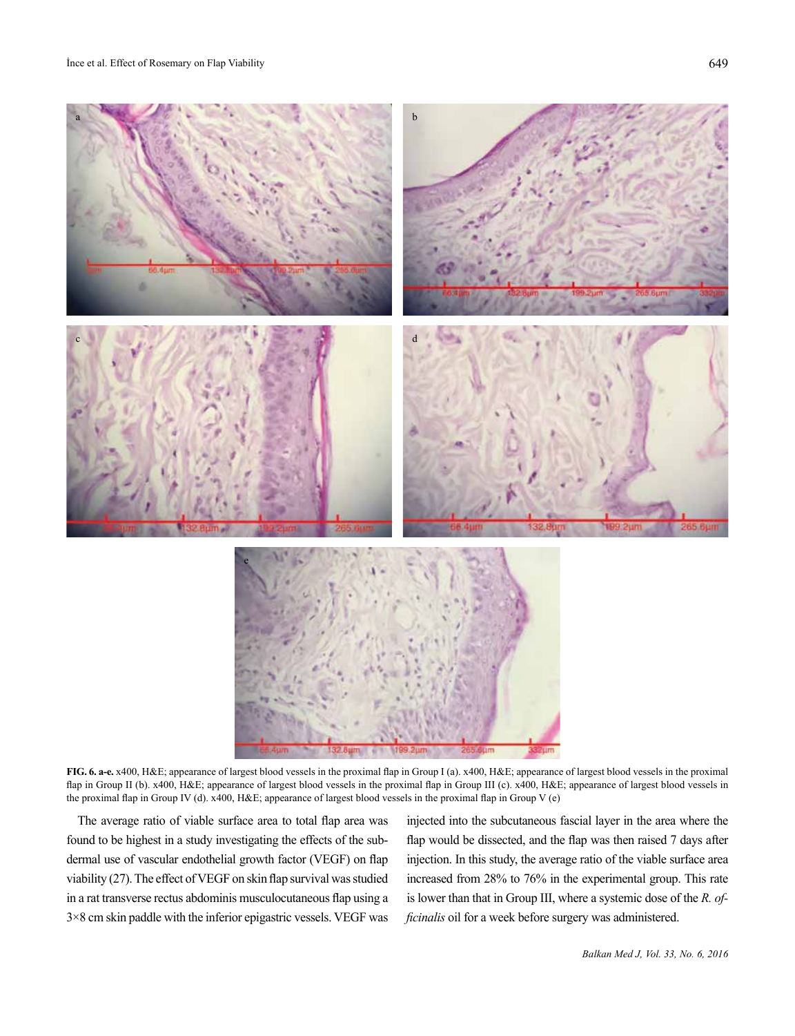

**FIG. 6. a-e.** x400, H&E; appearance of largest blood vessels in the proximal flap in Group I (a). x400, H&E; appearance of largest blood vessels in the proximal flap in Group II (b). x400, H&E; appearance of largest blood vessels in the proximal flap in Group III (c). x400, H&E; appearance of largest blood vessels in the proximal flap in Group IV (d). x400, H&E; appearance of largest blood vessels in the proximal flap in Group V (e)

The average ratio of viable surface area to total flap area was found to be highest in a study investigating the effects of the subdermal use of vascular endothelial growth factor (VEGF) on flap viability (27). The effect of VEGF on skin flap survival was studied in a rat transverse rectus abdominis musculocutaneous flap using a 3×8 cm skin paddle with the inferior epigastric vessels. VEGF was

injected into the subcutaneous fascial layer in the area where the flap would be dissected, and the flap was then raised 7 days after injection. In this study, the average ratio of the viable surface area increased from 28% to 76% in the experimental group. This rate is lower than that in Group III, where a systemic dose of the *R. officinalis* oil for a week before surgery was administered.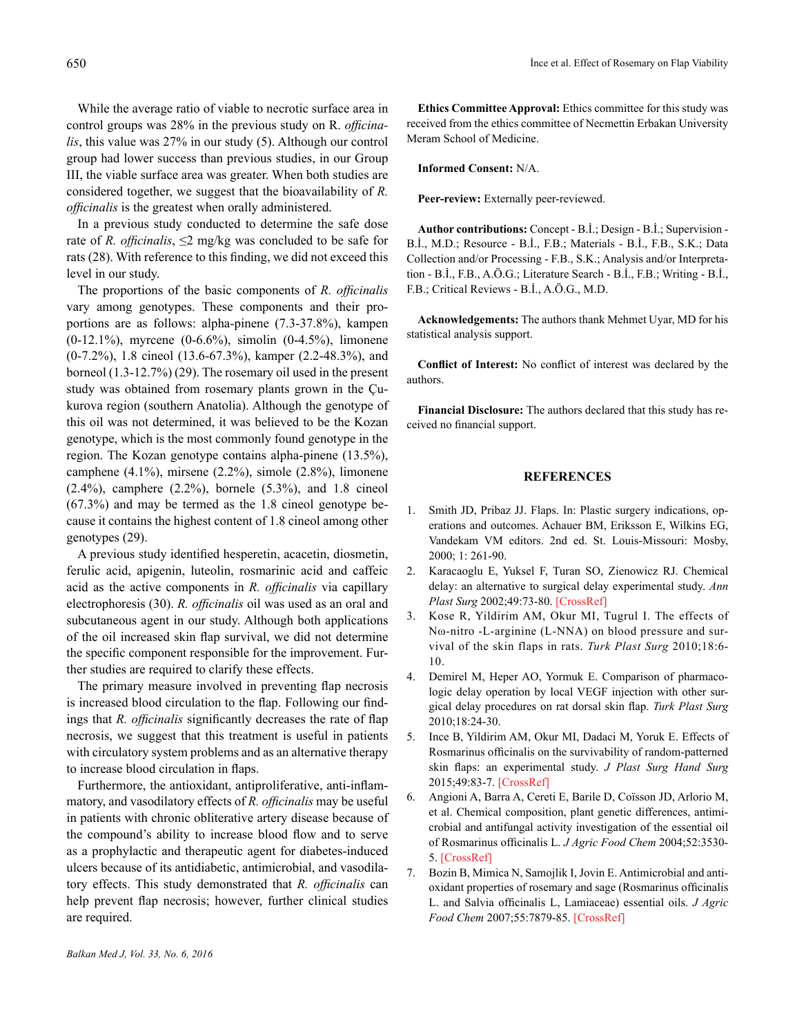While the average ratio of viable to necrotic surface area in control groups was 28% in the previous study on R. *officinalis*, this value was 27% in our study (5). Although our control group had lower success than previous studies, in our Group III, the viable surface area was greater. When both studies are considered together, we suggest that the bioavailability of *R. officinalis* is the greatest when orally administered.

In a previous study conducted to determine the safe dose rate of *R. officinalis*,  $\leq$ 2 mg/kg was concluded to be safe for rats (28). With reference to this finding, we did not exceed this level in our study.

The proportions of the basic components of *R. officinalis*  vary among genotypes. These components and their proportions are as follows: alpha-pinene (7.3-37.8%), kampen (0-12.1%), myrcene (0-6.6%), simolin (0-4.5%), limonene (0-7.2%), 1.8 cineol (13.6-67.3%), kamper (2.2-48.3%), and borneol (1.3-12.7%) (29). The rosemary oil used in the present study was obtained from rosemary plants grown in the Çukurova region (southern Anatolia). Although the genotype of this oil was not determined, it was believed to be the Kozan genotype, which is the most commonly found genotype in the region. The Kozan genotype contains alpha-pinene (13.5%), camphene (4.1%), mirsene (2.2%), simole (2.8%), limonene (2.4%), camphere (2.2%), bornele (5.3%), and 1.8 cineol (67.3%) and may be termed as the 1.8 cineol genotype because it contains the highest content of 1.8 cineol among other genotypes (29).

A previous study identified hesperetin, acacetin, diosmetin, ferulic acid, apigenin, luteolin, rosmarinic acid and caffeic acid as the active components in *R. officinalis* via capillary electrophoresis (30). *R. officinalis* oil was used as an oral and subcutaneous agent in our study. Although both applications of the oil increased skin flap survival, we did not determine the specific component responsible for the improvement. Further studies are required to clarify these effects.

The primary measure involved in preventing flap necrosis is increased blood circulation to the flap. Following our findings that *R. officinalis* significantly decreases the rate of flap necrosis, we suggest that this treatment is useful in patients with circulatory system problems and as an alternative therapy to increase blood circulation in flaps.

Furthermore, the antioxidant, antiproliferative, anti-inflammatory, and vasodilatory effects of *R. officinalis* may be useful in patients with chronic obliterative artery disease because of the compound's ability to increase blood flow and to serve as a prophylactic and therapeutic agent for diabetes-induced ulcers because of its antidiabetic, antimicrobial, and vasodilatory effects. This study demonstrated that *R. officinalis* can help prevent flap necrosis; however, further clinical studies are required.

**Ethics Committee Approval:** Ethics committee for this study was received from the ethics committee of Necmettin Erbakan University Meram School of Medicine.

#### **Informed Consent:** N/A.

Peer-review: Externally peer-reviewed.

**Author contributions:** Concept - B.İ.; Design - B.İ.; Supervision - B.İ., M.D.; Resource - B.İ., F.B.; Materials - B.İ., F.B., S.K.; Data Collection and/or Processing - F.B., S.K.; Analysis and/or Interpretation - B.İ., F.B., A.Ö.G.; Literature Search - B.İ., F.B.; Writing - B.İ., F.B.; Critical Reviews - B.İ., A.Ö.G., M.D.

**Acknowledgements:** The authors thank Mehmet Uyar, MD for his statistical analysis support.

**Conflict of Interest:** No conflict of interest was declared by the authors.

**Financial Disclosure:** The authors declared that this study has received no financial support.

### **REFERENCES**

- 1. Smith JD, Pribaz JJ. Flaps. In: Plastic surgery indications, operations and outcomes. Achauer BM, Eriksson E, Wilkins EG, Vandekam VM editors. 2nd ed. St. Louis-Missouri: Mosby, 2000; 1: 261-90.
- 2. Karacaoglu E, Yuksel F, Turan SO, Zienowicz RJ. Chemical delay: an alternative to surgical delay experimental study. *Ann Plast Surg* 2002;49:73-80. [[CrossRef](https://doi.org/10.1097/00000637-200207000-00012)]
- 3. Kose R, Yildirim AM, Okur MI, Tugrul I. The effects of Nω-nitro -L-arginine (L-NNA) on blood pressure and survival of the skin flaps in rats. *Turk Plast Surg* 2010;18:6- 10.
- 4. Demirel M, Heper AO, Yormuk E. Comparison of pharmacologic delay operation by local VEGF injection with other surgical delay procedures on rat dorsal skin flap. *Turk Plast Surg*  2010;18:24-30.
- 5. Ince B, Yildirim AM, Okur MI, Dadaci M, Yoruk E. Effects of Rosmarinus officinalis on the survivability of random-patterned skin flaps: an experimental study. *J Plast Surg Hand Surg* 2015;49:83-7. [[CrossRef](https://doi.org/10.3109/2000656X.2014.907172)]
- 6. Angioni A, Barra A, Cereti E, Barile D, Coïsson JD, Arlorio M, et al. Chemical composition, plant genetic differences, antimicrobial and antifungal activity investigation of the essential oil of Rosmarinus officinalis L. *J Agric Food Chem* 2004;52:3530- 5. [[CrossRef](https://doi.org/10.1021/jf049913t)]
- 7. Bozin B, Mimica N, Samojlik I, Jovin E. Antimicrobial and antioxidant properties of rosemary and sage (Rosmarinus officinalis L. and Salvia officinalis L, Lamiaceae) essential oils. *J Agric Food Chem* 2007;55:7879-85. [[CrossRef](https://doi.org/10.1021/jf0715323)]